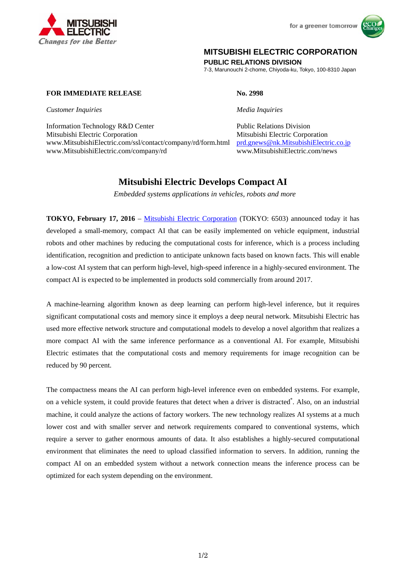

for a greener tomorrow



## **MITSUBISHI ELECTRIC CORPORATION**

**PUBLIC RELATIONS DIVISION** 

7-3, Marunouchi 2-chome, Chiyoda-ku, Tokyo, 100-8310 Japan

## **FOR IMMEDIATE RELEASE No. 2998**

*Customer Inquiries Media Inquiries*

Information Technology R&D Center Public Relations Division Mitsubishi Electric Corporation Mitsubishi Electric Corporation www.MitsubishiElectric.com/ssl/contact/company/rd/form.html prd.gnews@nk.MitsubishiElectric.co.jp<br>www.MitsubishiElectric.com/news www.MitsubishiElectric.com/company/rd

# **Mitsubishi Electric Develops Compact AI**

 *Embedded systems applications in vehicles, robots and more* 

**TOKYO, February 17, 2016** – Mitsubishi Electric Corporation (TOKYO: 6503) announced today it has developed a small-memory, compact AI that can be easily implemented on vehicle equipment, industrial robots and other machines by reducing the computational costs for inference, which is a process including identification, recognition and prediction to anticipate unknown facts based on known facts. This will enable a low-cost AI system that can perform high-level, high-speed inference in a highly-secured environment. The compact AI is expected to be implemented in products sold commercially from around 2017.

A machine-learning algorithm known as deep learning can perform high-level inference, but it requires significant computational costs and memory since it employs a deep neural network. Mitsubishi Electric has used more effective network structure and computational models to develop a novel algorithm that realizes a more compact AI with the same inference performance as a conventional AI. For example, Mitsubishi Electric estimates that the computational costs and memory requirements for image recognition can be reduced by 90 percent.

The compactness means the AI can perform high-level inference even on embedded systems. For example, on a vehicle system, it could provide features that detect when a driver is distracted. Also, on an industrial machine, it could analyze the actions of factory workers. The new technology realizes AI systems at a much lower cost and with smaller server and network requirements compared to conventional systems, which require a server to gather enormous amounts of data. It also establishes a highly-secured computational environment that eliminates the need to upload classified information to servers. In addition, running the compact AI on an embedded system without a network connection means the inference process can be optimized for each system depending on the environment.